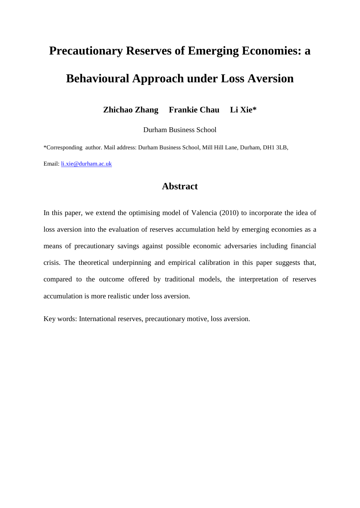# **Precautionary Reserves of Emerging Economies: a Behavioural Approach under Loss Aversion**

**Zhichao Zhang Frankie Chau Li Xie\***

Durham Business School

\*Corresponding author. Mail address: Durham Business School, Mill Hill Lane, Durham, DH1 3LB, Email: [li.xie@durham.ac.uk](mailto:li.xie@durham.ac.uk)

# **Abstract**

In this paper, we extend the optimising model of Valencia (2010) to incorporate the idea of loss aversion into the evaluation of reserves accumulation held by emerging economies as a means of precautionary savings against possible economic adversaries including financial crisis. The theoretical underpinning and empirical calibration in this paper suggests that, compared to the outcome offered by traditional models, the interpretation of reserves accumulation is more realistic under loss aversion.

Key words: International reserves, precautionary motive, loss aversion.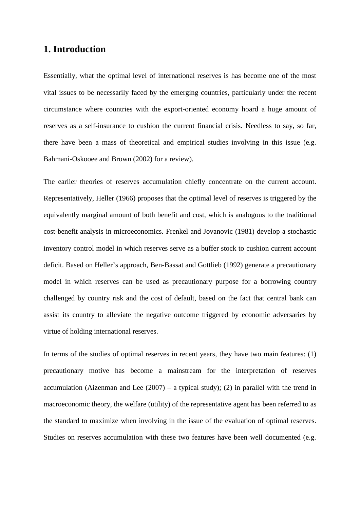### **1. Introduction**

Essentially, what the optimal level of international reserves is has become one of the most vital issues to be necessarily faced by the emerging countries, particularly under the recent circumstance where countries with the export-oriented economy hoard a huge amount of reserves as a self-insurance to cushion the current financial crisis. Needless to say, so far, there have been a mass of theoretical and empirical studies involving in this issue (e.g. Bahmani-Oskooee and Brown (2002) for a review).

The earlier theories of reserves accumulation chiefly concentrate on the current account. Representatively, Heller (1966) proposes that the optimal level of reserves is triggered by the equivalently marginal amount of both benefit and cost, which is analogous to the traditional cost-benefit analysis in microeconomics. Frenkel and Jovanovic (1981) develop a stochastic inventory control model in which reserves serve as a buffer stock to cushion current account deficit. Based on Heller's approach, Ben-Bassat and Gottlieb (1992) generate a precautionary model in which reserves can be used as precautionary purpose for a borrowing country challenged by country risk and the cost of default, based on the fact that central bank can assist its country to alleviate the negative outcome triggered by economic adversaries by virtue of holding international reserves.

In terms of the studies of optimal reserves in recent years, they have two main features: (1) precautionary motive has become a mainstream for the interpretation of reserves accumulation (Aizenman and Lee  $(2007)$  – a typical study); (2) in parallel with the trend in macroeconomic theory, the welfare (utility) of the representative agent has been referred to as the standard to maximize when involving in the issue of the evaluation of optimal reserves. Studies on reserves accumulation with these two features have been well documented (e.g.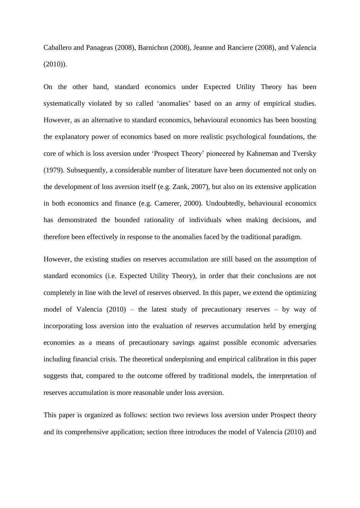Caballero and Panageas (2008), Barnichon (2008), Jeanne and Ranciere (2008), and Valencia (2010)).

On the other hand, standard economics under Expected Utility Theory has been systematically violated by so called 'anomalies' based on an army of empirical studies. However, as an alternative to standard economics, behavioural economics has been boosting the explanatory power of economics based on more realistic psychological foundations, the core of which is loss aversion under 'Prospect Theory' pioneered by Kahneman and Tversky (1979). Subsequently, a considerable number of literature have been documented not only on the development of loss aversion itself (e.g. Zank, 2007), but also on its extensive application in both economics and finance (e.g. Camerer, 2000). Undoubtedly, behavioural economics has demonstrated the bounded rationality of individuals when making decisions, and therefore been effectively in response to the anomalies faced by the traditional paradigm.

However, the existing studies on reserves accumulation are still based on the assumption of standard economics (i.e. Expected Utility Theory), in order that their conclusions are not completely in line with the level of reserves observed. In this paper, we extend the optimizing model of Valencia  $(2010)$  – the latest study of precautionary reserves – by way of incorporating loss aversion into the evaluation of reserves accumulation held by emerging economies as a means of precautionary savings against possible economic adversaries including financial crisis. The theoretical underpinning and empirical calibration in this paper suggests that, compared to the outcome offered by traditional models, the interpretation of reserves accumulation is more reasonable under loss aversion.

This paper is organized as follows: section two reviews loss aversion under Prospect theory and its comprehensive application; section three introduces the model of Valencia (2010) and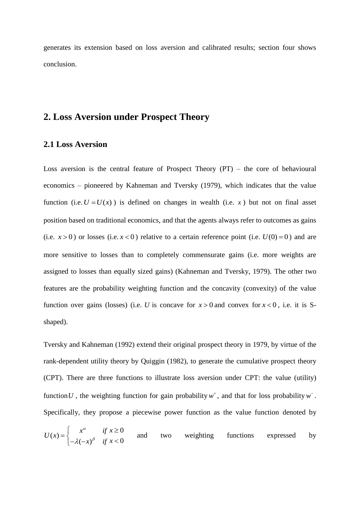generates its extension based on loss aversion and calibrated results; section four shows conclusion.

# **2. Loss Aversion under Prospect Theory**

#### **2.1 Loss Aversion**

Loss aversion is the central feature of Prospect Theory  $(PT)$  – the core of behavioural economics – pioneered by Kahneman and Tversky (1979), which indicates that the value function (i.e.  $U = U(x)$ ) is defined on changes in wealth (i.e. x) but not on final asset position based on traditional economics, and that the agents always refer to outcomes as gains (i.e.  $x > 0$ ) or losses (i.e.  $x < 0$ ) relative to a certain reference point (i.e.  $U(0) = 0$ ) and are more sensitive to losses than to completely commensurate gains (i.e. more weights are assigned to losses than equally sized gains) (Kahneman and Tversky, 1979). The other two features are the probability weighting function and the concavity (convexity) of the value function over gains (losses) (i.e. U is concave for  $x > 0$  and convex for  $x < 0$ , i.e. it is Sshaped).

Tversky and Kahneman (1992) extend their original prospect theory in 1979, by virtue of the rank-dependent utility theory by Quiggin (1982), to generate the cumulative prospect theory (CPT). There are three functions to illustrate loss aversion under CPT: the value (utility) function U, the weighting function for gain probability  $w^+$ , and that for loss probability  $w^-$ . Specifically, they propose a piecewise power function as the value function denoted by

$$
U(x) = \begin{cases} x^{\alpha} & \text{if } x \ge 0 \\ -\lambda(-x)^{\beta} & \text{if } x < 0 \end{cases}
$$
 and two weighting functions expressed by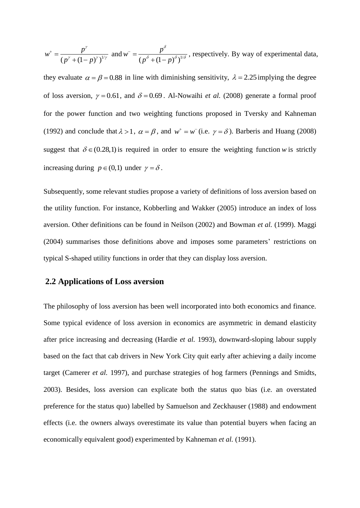$$
w^+ = \frac{p^{\gamma}}{(p^{\gamma} + (1-p)^{\gamma})^{1/\gamma}}
$$
 and  $w^- = \frac{p^{\delta}}{(p^{\delta} + (1-p)^{\delta})^{1/\delta}}$ , respectively. By way of experimental data,

they evaluate  $\alpha = \beta = 0.88$  in line with diminishing sensitivity,  $\lambda = 2.25$  implying the degree of loss aversion,  $\gamma = 0.61$ , and  $\delta = 0.69$ . Al-Nowaihi *et al.* (2008) generate a formal proof for the power function and two weighting functions proposed in Tversky and Kahneman (1992) and conclude that  $\lambda > 1$ ,  $\alpha = \beta$ , and  $w^+ = w^-(i.e. \gamma = \delta)$ . Barberis and Huang (2008) suggest that  $\delta \in (0.28,1)$  is required in order to ensure the weighting function w is strictly increasing during  $p \in (0,1)$  under  $\gamma = \delta$ .

Subsequently, some relevant studies propose a variety of definitions of loss aversion based on the utility function. For instance, Kobberling and Wakker (2005) introduce an index of loss aversion. Other definitions can be found in Neilson (2002) and Bowman *et al.* (1999). Maggi (2004) summarises those definitions above and imposes some parameters' restrictions on typical S-shaped utility functions in order that they can display loss aversion.

#### **2.2 Applications of Loss aversion**

The philosophy of loss aversion has been well incorporated into both economics and finance. Some typical evidence of loss aversion in economics are asymmetric in demand elasticity after price increasing and decreasing (Hardie *et al.* 1993), downward-sloping labour supply based on the fact that cab drivers in New York City quit early after achieving a daily income target (Camerer *et al.* 1997), and purchase strategies of hog farmers (Pennings and Smidts, 2003). Besides, loss aversion can explicate both the status quo bias (i.e. an overstated preference for the status quo) labelled by Samuelson and Zeckhauser (1988) and endowment effects (i.e. the owners always overestimate its value than potential buyers when facing an economically equivalent good) experimented by Kahneman *et al.* (1991).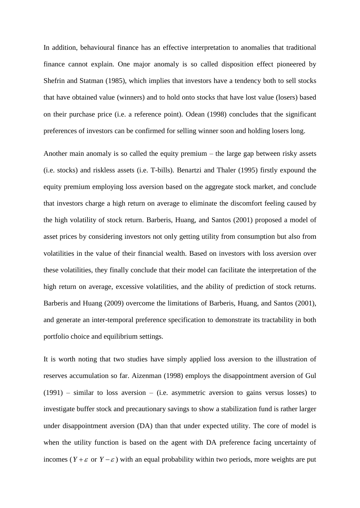In addition, behavioural finance has an effective interpretation to anomalies that traditional finance cannot explain. One major anomaly is so called disposition effect pioneered by Shefrin and Statman (1985), which implies that investors have a tendency both to sell stocks that have obtained value (winners) and to hold onto stocks that have lost value (losers) based on their purchase price (i.e. a reference point). Odean (1998) concludes that the significant preferences of investors can be confirmed for selling winner soon and holding losers long.

Another main anomaly is so called the equity premium – the large gap between risky assets (i.e. stocks) and riskless assets (i.e. T-bills). Benartzi and Thaler (1995) firstly expound the equity premium employing loss aversion based on the aggregate stock market, and conclude that investors charge a high return on average to eliminate the discomfort feeling caused by the high volatility of stock return. Barberis, Huang, and Santos (2001) proposed a model of asset prices by considering investors not only getting utility from consumption but also from volatilities in the value of their financial wealth. Based on investors with loss aversion over these volatilities, they finally conclude that their model can facilitate the interpretation of the high return on average, excessive volatilities, and the ability of prediction of stock returns. Barberis and Huang (2009) overcome the limitations of Barberis, Huang, and Santos (2001), and generate an inter-temporal preference specification to demonstrate its tractability in both portfolio choice and equilibrium settings.

It is worth noting that two studies have simply applied loss aversion to the illustration of reserves accumulation so far. Aizenman (1998) employs the disappointment aversion of Gul (1991) – similar to loss aversion – (i.e. asymmetric aversion to gains versus losses) to investigate buffer stock and precautionary savings to show a stabilization fund is rather larger under disappointment aversion (DA) than that under expected utility. The core of model is when the utility function is based on the agent with DA preference facing uncertainty of incomes ( $Y + \varepsilon$  or  $Y - \varepsilon$ ) with an equal probability within two periods, more weights are put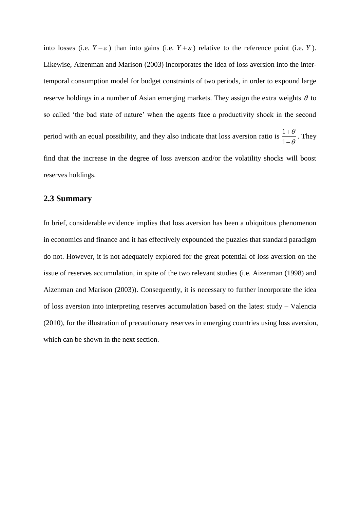into losses (i.e.  $Y - \varepsilon$ ) than into gains (i.e.  $Y + \varepsilon$ ) relative to the reference point (i.e. *Y*). Likewise, Aizenman and Marison (2003) incorporates the idea of loss aversion into the intertemporal consumption model for budget constraints of two periods, in order to expound large reserve holdings in a number of Asian emerging markets. They assign the extra weights  $\theta$  to so called 'the bad state of nature' when the agents face a productivity shock in the second period with an equal possibility, and they also indicate that loss aversion ratio is  $\frac{1}{1}$ 1  $\theta$  $\theta$  $\overline{+}$  $\overline{a}$ . They find that the increase in the degree of loss aversion and/or the volatility shocks will boost reserves holdings.

#### **2.3 Summary**

In brief, considerable evidence implies that loss aversion has been a ubiquitous phenomenon in economics and finance and it has effectively expounded the puzzles that standard paradigm do not. However, it is not adequately explored for the great potential of loss aversion on the issue of reserves accumulation, in spite of the two relevant studies (i.e. Aizenman (1998) and Aizenman and Marison (2003)). Consequently, it is necessary to further incorporate the idea of loss aversion into interpreting reserves accumulation based on the latest study – Valencia (2010), for the illustration of precautionary reserves in emerging countries using loss aversion, which can be shown in the next section.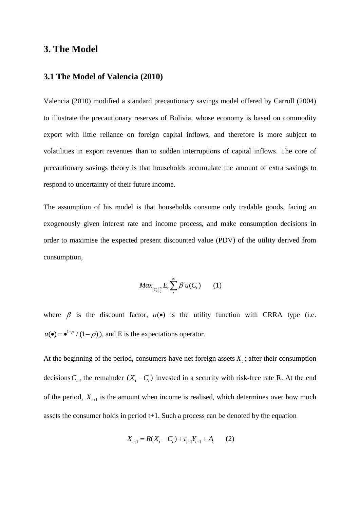## **3. The Model**

#### **3.1 The Model of Valencia (2010)**

Valencia (2010) modified a standard precautionary savings model offered by Carroll (2004) to illustrate the precautionary reserves of Bolivia, whose economy is based on commodity export with little reliance on foreign capital inflows, and therefore is more subject to volatilities in export revenues than to sudden interruptions of capital inflows. The core of precautionary savings theory is that households accumulate the amount of extra savings to respond to uncertainty of their future income.

The assumption of his model is that households consume only tradable goods, facing an exogenously given interest rate and income process, and make consumption decisions in order to maximise the expected present discounted value (PDV) of the utility derived from consumption,

$$
Max_{\{C_i\}_0^\infty} E_i \sum_{t}^\infty \beta^t u(C_t) \qquad (1)
$$

where  $\beta$  is the discount factor,  $u(\bullet)$  is the utility function with CRRA type (i.e.  $u(\bullet) = \bullet^{1-\rho}/(1-\rho)$ , and E is the expectations operator.

At the beginning of the period, consumers have net foreign assets  $X_t$ ; after their consumption decisions  $C_t$ , the remainder  $(X_t - C_t)$  invested in a security with risk-free rate R. At the end of the period,  $X_{t+1}$  is the amount when income is realised, which determines over how much assets the consumer holds in period  $t+1$ . Such a process can be denoted by the equation

$$
X_{t+1} = R(X_t - C_t) + \tau_{t+1} Y_{t+1} + A_t \qquad (2)
$$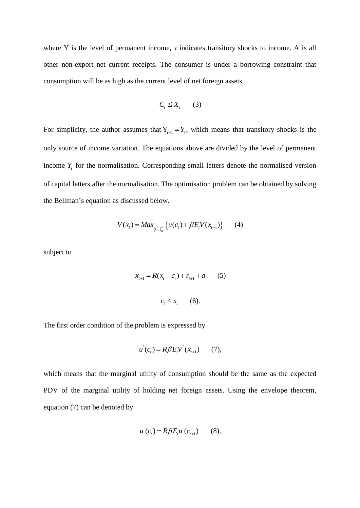where Y is the level of permanent income,  $\tau$  indicates transitory shocks to income. A is all other non-export net current receipts. The consumer is under a borrowing constraint that consumption will be as high as the current level of net foreign assets.

$$
C_t \le X_t \qquad (3)
$$

For simplicity, the author assumes that  $Y_{t+1} = Y_t$ , which means that transitory shocks is the only source of income variation. The equations above are divided by the level of permanent income  $Y_t$  for the normalisation. Corresponding small letters denote the normalised version of capital letters after the normalisation. The optimisation problem can be obtained by solving the Bellman's equation as discussed below.

$$
V(x_t) = Max_{\{C_t\}_{0}^{\infty}} \{ u(c_t) + \beta E_t V(x_{t+1}) \}
$$
 (4)

subject to

$$
x_{t+1} = R(x_t - c_t) + \tau_{t+1} + a \qquad (5)
$$
  

$$
c_t \le x_t \qquad (6).
$$

The first order condition of the problem is expressed by

$$
u'(c_t) = R\beta E_t V'(x_{t+1})
$$
 (7),

which means that the marginal utility of consumption should be the same as the expected PDV of the marginal utility of holding net foreign assets. Using the envelope theorem, equation (7) can be denoted by

$$
u'(c_t) = R\beta E_t u'(c_{t+1})
$$
 (8),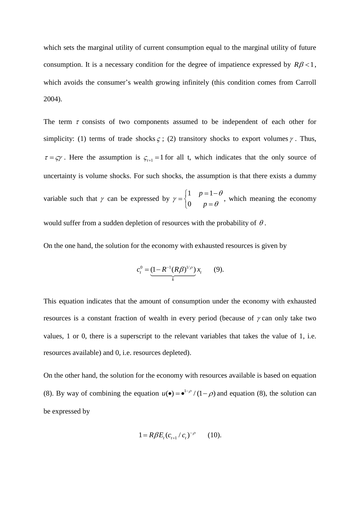which sets the marginal utility of current consumption equal to the marginal utility of future consumption. It is a necessary condition for the degree of impatience expressed by  $R\beta < 1$ , which avoids the consumer's wealth growing infinitely (this condition comes from Carroll 2004).

The term  $\tau$  consists of two components assumed to be independent of each other for simplicity: (1) terms of trade shocks  $\zeta$ ; (2) transitory shocks to export volumes  $\gamma$ . Thus,  $\tau = \varsigma \gamma$ . Here the assumption is  $\varsigma_{t+1} = 1$  for all t, which indicates that the only source of uncertainty is volume shocks. For such shocks, the assumption is that there exists a dummy variable such that  $\gamma$  can be expressed by  $1 p = 1$ 0 *p p*  $\theta$  $\gamma = \begin{cases} 0 & p = \theta \end{cases}$  $\begin{bmatrix} 1 & p = 1 - \theta \end{bmatrix}$  $=\{$  $\begin{pmatrix} 0 & p \end{pmatrix}$ , which meaning the economy would suffer from a sudden depletion of resources with the probability of  $\theta$ .

On the one hand, the solution for the economy with exhausted resources is given by

$$
c_t^0 = \underbrace{(1 - R^{-1}(R\beta)^{1/\rho})}_{k} x_t \qquad (9).
$$

This equation indicates that the amount of consumption under the economy with exhausted resources is a constant fraction of wealth in every period (because of  $\gamma$  can only take two values, 1 or 0, there is a superscript to the relevant variables that takes the value of 1, i.e. resources available) and 0, i.e. resources depleted).

On the other hand, the solution for the economy with resources available is based on equation (8). By way of combining the equation  $u(\bullet) = \bullet^{1-\rho}/(1-\rho)$  and equation (8), the solution can be expressed by

$$
1 = R\beta E_t (c_{t+1} / c_t)^{-\rho} \qquad (10).
$$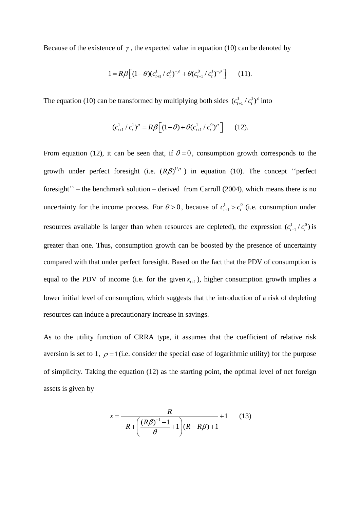Because of the existence of  $\gamma$ , the expected value in equation (10) can be denoted by

$$
1 = R\beta \Big[ (1 - \theta)(c_{t+1}^1 / c_t^1)^{-\rho} + \theta(c_{t+1}^0 / c_t^1)^{-\rho} \Big] \qquad (11).
$$

The equation (10) can be transformed by multiplying both sides  $(c_{i+1}^1/c_i^1)$  $(c_{t+1}^1 / c_t^1)^\rho$  into

$$
(c_{t+1}^1 / c_t^1)^\rho = R\beta \Big[ (1-\theta) + \theta (c_{t+1}^1 / c_t^0)^\rho \Big] \qquad (12).
$$

From equation (12), it can be seen that, if  $\theta = 0$ , consumption growth corresponds to the growth under perfect foresight (i.e.  $(R\beta)^{1/\rho}$ ) in equation (10). The concept "perfect foresight'' – the benchmark solution – derived from Carroll (2004), which means there is no uncertainty for the income process. For  $\theta > 0$ , because of  $c_{t+1}^1 > c_t^0$  $c_{t+1}^1 > c_t^0$  (i.e. consumption under resources available is larger than when resources are depleted), the expression  $(c_{i+1}^1/c_i^0)$  $(c_{t+1}^1 / c_t^0)$  is greater than one. Thus, consumption growth can be boosted by the presence of uncertainty compared with that under perfect foresight. Based on the fact that the PDV of consumption is equal to the PDV of income (i.e. for the given  $x_{t+1}$ ), higher consumption growth implies a lower initial level of consumption, which suggests that the introduction of a risk of depleting resources can induce a precautionary increase in savings.

As to the utility function of CRRA type, it assumes that the coefficient of relative risk aversion is set to 1,  $\rho = 1$  (i.e. consider the special case of logarithmic utility) for the purpose of simplicity. Taking the equation (12) as the starting point, the optimal level of net foreign assets is given by

$$
x = \frac{R}{-R + \left(\frac{(R\beta)^{-1} - 1}{\theta} + 1\right)(R - R\beta) + 1} + 1
$$
 (13)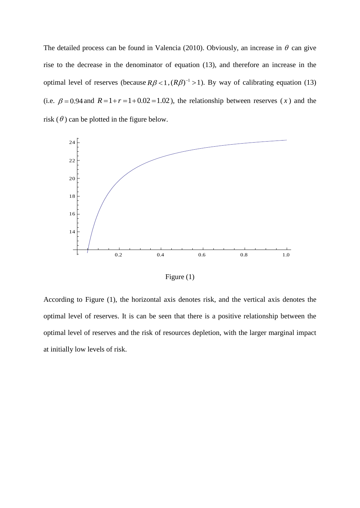The detailed process can be found in Valencia (2010). Obviously, an increase in  $\theta$  can give rise to the decrease in the denominator of equation (13), and therefore an increase in the optimal level of reserves (because  $R\beta < 1$ ,  $(R\beta)^{-1} > 1$ ). By way of calibrating equation (13) (i.e.  $\beta = 0.94$  and  $R = 1 + r = 1 + 0.02 = 1.02$ ), the relationship between reserves (x) and the risk  $(\theta)$  can be plotted in the figure below.



Figure (1)

According to Figure (1), the horizontal axis denotes risk, and the vertical axis denotes the optimal level of reserves. It is can be seen that there is a positive relationship between the optimal level of reserves and the risk of resources depletion, with the larger marginal impact at initially low levels of risk.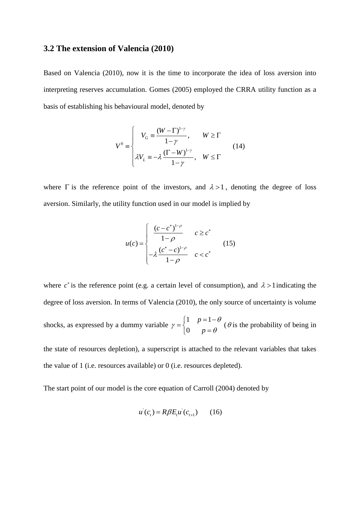#### **3.2 The extension of Valencia (2010)**

Based on Valencia (2010), now it is the time to incorporate the idea of loss aversion into interpreting reserves accumulation. Gomes (2005) employed the CRRA utility function as a basis of establishing his behavioural model, denoted by

$$
V^{0} \equiv \begin{cases} V_{G} = \frac{(W - \Gamma)^{1-\gamma}}{1 - \gamma}, & W \ge \Gamma \\ \lambda V_{L} = -\lambda \frac{(\Gamma - W)^{1-\gamma}}{1 - \gamma}, & W \le \Gamma \end{cases}
$$
(14)

where  $\Gamma$  is the reference point of the investors, and  $\lambda > 1$ , denoting the degree of loss aversion. Similarly, the utility function used in our model is implied by

$$
u(c) = \begin{cases} \frac{(c-c^*)^{1-\rho}}{1-\rho} & c \ge c^* \\ -\lambda \frac{(c^*-c)^{1-\rho}}{1-\rho} & c < c^* \end{cases}
$$
(15)

where  $c^*$  is the reference point (e.g. a certain level of consumption), and  $\lambda > 1$  indicating the degree of loss aversion. In terms of Valencia (2010), the only source of uncertainty is volume shocks, as expressed by a dummy variable 1  $p=1$ 0 *p p*  $\theta$  $\gamma = \begin{cases} 0 & p = \theta \end{cases}$  $\begin{bmatrix} 1 & p = 1 - \theta \end{bmatrix}$  $=\{$  $\begin{pmatrix} 0 & p \end{pmatrix}$  $(\theta)$  is the probability of being in the state of resources depletion), a superscript is attached to the relevant variables that takes

the value of 1 (i.e. resources available) or 0 (i.e. resources depleted).

The start point of our model is the core equation of Carroll (2004) denoted by

$$
u^{'}(c_{t}) = R\beta E_{t}u^{'}(c_{t+1}) \qquad (16)
$$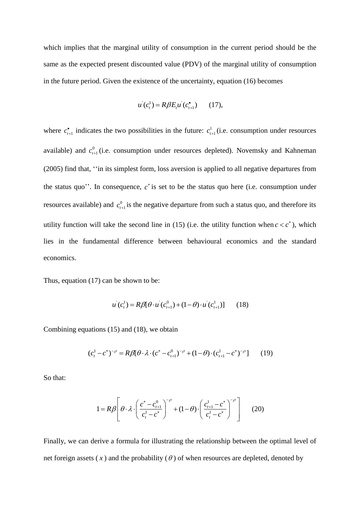which implies that the marginal utility of consumption in the current period should be the same as the expected present discounted value (PDV) of the marginal utility of consumption in the future period. Given the existence of the uncertainty, equation (16) becomes

$$
u^{'}(c_{t}^{1}) = R\beta E_{t}u^{'}(c_{t+1}^{•}) \qquad (17),
$$

where  $c_{t+1}^{\bullet}$  $\sum_{t=1}^{\infty}$  indicates the two possibilities in the future:  $c_t^1$  $c_{t+1}^1$  (i.e. consumption under resources available) and  $c_{t}^{0}$  $c_{t+1}^0$  (i.e. consumption under resources depleted). Novemsky and Kahneman (2005) find that, ''in its simplest form, loss aversion is applied to all negative departures from the status quo''. In consequence,  $c^*$  is set to be the status quo here (i.e. consumption under resources available) and  $c_{\mu}^0$  $c_{i+1}^0$  is the negative departure from such a status quo, and therefore its utility function will take the second line in (15) (i.e. the utility function when  $c < c^*$ ), which lies in the fundamental difference between behavioural economics and the standard economics.

Thus, equation (17) can be shown to be:

$$
u^{i}(c_{t}^{1}) = R\beta[\theta \cdot u^{i}(c_{t+1}^{0}) + (1-\theta) \cdot u^{i}(c_{t+1}^{1})]
$$
 (18)

Combining equations (15) and (18), we obtain

$$
(c_t^1 - c^*)^{-\rho} = R\beta[\theta \cdot \lambda \cdot (c^* - c_{t+1}^0)^{-\rho} + (1 - \theta) \cdot (c_{t+1}^1 - c^*)^{-\rho}] \tag{19}
$$

So that:

$$
1 = R\beta \left[ \theta \cdot \lambda \cdot \left( \frac{c^* - c_{t+1}^0}{c_t^1 - c^*} \right)^{-\rho} + (1 - \theta) \cdot \left( \frac{c_{t+1}^1 - c^*}{c_t^1 - c^*} \right)^{-\rho} \right]
$$
(20)

Finally, we can derive a formula for illustrating the relationship between the optimal level of net foreign assets  $(x)$  and the probability  $(\theta)$  of when resources are depleted, denoted by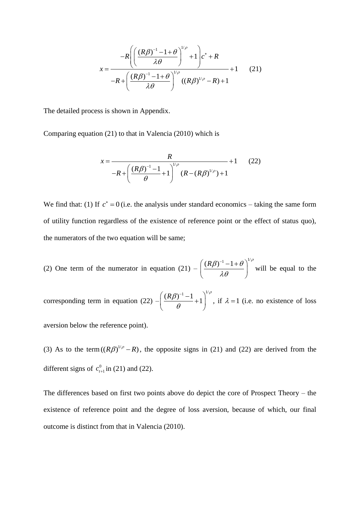$$
x = \frac{-R\left(\left(\frac{(R\beta)^{-1} - 1 + \theta}{\lambda \theta}\right)^{1/\rho} + 1\right)c^* + R}{-R + \left(\frac{(R\beta)^{-1} - 1 + \theta}{\lambda \theta}\right)^{1/\rho}((R\beta)^{1/\rho} - R) + 1}
$$
(21)

The detailed process is shown in Appendix.

Comparing equation (21) to that in Valencia (2010) which is

$$
x = \frac{R}{-R + \left(\frac{(R\beta)^{-1} - 1}{\theta} + 1\right)^{1/\rho} (R - (R\beta)^{1/\rho}) + 1}
$$
(22)

We find that: (1) If  $c^* = 0$  (i.e. the analysis under standard economics – taking the same form of utility function regardless of the existence of reference point or the effect of status quo), the numerators of the two equation will be same;

(2) One term of the numerator in equation  $(21)$  –  $(R\beta)^{-1} - 1 + \theta \bigg)^{1/\rho}$  $\lambda\theta$  $\left(\frac{(R\beta)^{-1}-1+\theta}{\lambda\theta}\right)^{1/\rho}$ will be equal to the corresponding term in equation  $(22)$  –  $\left(\frac{R\beta)^{-1}-1}{2}+1\right)^{1/\rho}$  $\theta$  $((R\beta)^{-1}-1)^{1/\rho}$  $\left(\frac{(\mu p)}{q}+1\right)$  $\begin{pmatrix} \theta & \end{pmatrix}$ , if  $\lambda = 1$  (i.e. no existence of loss aversion below the reference point).

(3) As to the term  $((R\beta)^{1/\rho} - R)$ , the opposite signs in (21) and (22) are derived from the different signs of  $c_{\mu}^{0}$  $c_{t+1}^0$  in (21) and (22).

The differences based on first two points above do depict the core of Prospect Theory – the existence of reference point and the degree of loss aversion, because of which, our final outcome is distinct from that in Valencia (2010).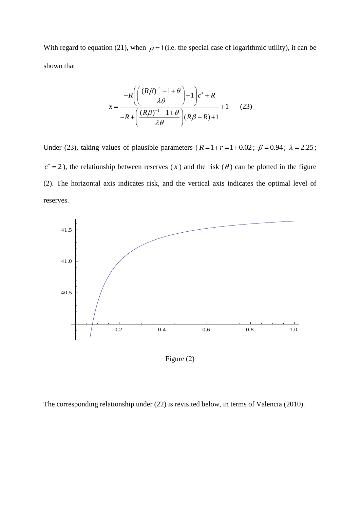With regard to equation (21), when  $\rho = 1$  (i.e. the special case of logarithmic utility), it can be shown that

$$
x = \frac{-R\left(\left(\frac{(R\beta)^{-1} - 1 + \theta}{\lambda \theta}\right) + 1\right)c^* + R}{-R + \left(\frac{(R\beta)^{-1} - 1 + \theta}{\lambda \theta}\right)(R\beta - R) + 1} + 1 \qquad (23)
$$

Under (23), taking values of plausible parameters ( $R=1+r=1+0.02$ ;  $\beta=0.94$ ;  $\lambda=2.25$ ;  $c^* = 2$ ), the relationship between reserves (x) and the risk ( $\theta$ ) can be plotted in the figure (2). The horizontal axis indicates risk, and the vertical axis indicates the optimal level of reserves.



Figure (2)

The corresponding relationship under (22) is revisited below, in terms of Valencia (2010).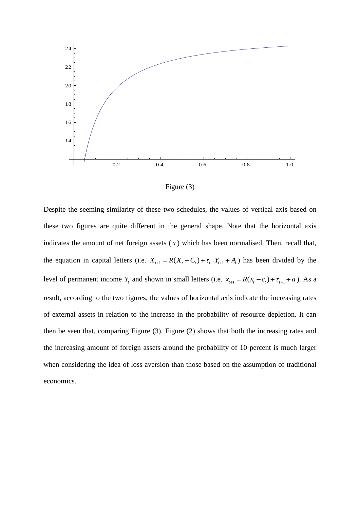

Figure (3)

Despite the seeming similarity of these two schedules, the values of vertical axis based on these two figures are quite different in the general shape. Note that the horizontal axis indicates the amount of net foreign assets  $(x)$  which has been normalised. Then, recall that, the equation in capital letters (i.e.  $X_{t+1} = R(X_t - C_t) + \tau_{t+1}Y_{t+1} + A_t$ ) has been divided by the level of permanent income  $Y_t$  and shown in small letters (i.e.  $x_{t+1} = R(x_t - c_t) + \tau_{t+1} + a$ ). As a result, according to the two figures, the values of horizontal axis indicate the increasing rates of external assets in relation to the increase in the probability of resource depletion. It can then be seen that, comparing Figure (3), Figure (2) shows that both the increasing rates and the increasing amount of foreign assets around the probability of 10 percent is much larger when considering the idea of loss aversion than those based on the assumption of traditional economics.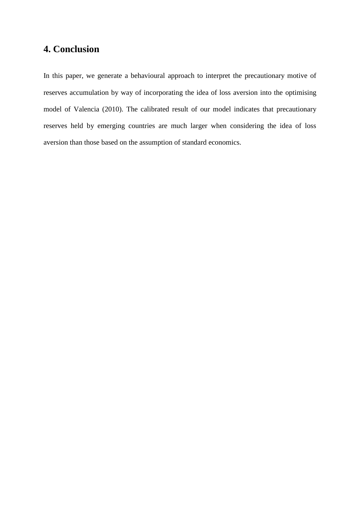# **4. Conclusion**

In this paper, we generate a behavioural approach to interpret the precautionary motive of reserves accumulation by way of incorporating the idea of loss aversion into the optimising model of Valencia (2010). The calibrated result of our model indicates that precautionary reserves held by emerging countries are much larger when considering the idea of loss aversion than those based on the assumption of standard economics.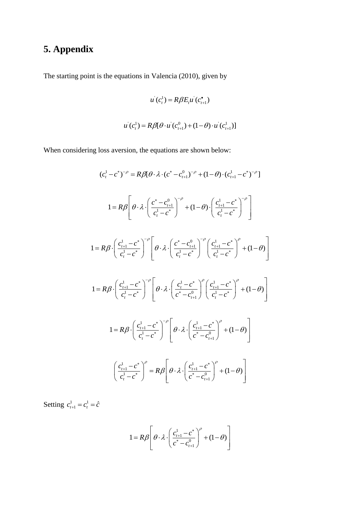# **5. Appendix**

The starting point is the equations in Valencia (2010), given by

$$
u(c_t^1) = R\beta E_t u(c_{t+1}^{\bullet})
$$
  
 
$$
u(c_t^1) = R\beta[\theta \cdot u(c_{t+1}^0) + (1-\theta) \cdot u(c_{t+1}^1)]
$$

When considering loss aversion, the equations are shown below:

$$
(c_{i}^{1} - c^{*})^{-\rho} = R\beta[\theta \cdot \lambda \cdot (c^{*} - c_{i+1}^{0})^{-\rho} + (1 - \theta) \cdot (c_{i+1}^{1} - c^{*})^{-\rho}]
$$
\n
$$
1 = R\beta \left[ \theta \cdot \lambda \cdot \left( \frac{c^{*} - c_{i+1}^{0}}{c_{i}^{1} - c^{*}} \right)^{-\rho} + (1 - \theta) \cdot \left( \frac{c_{i+1}^{1} - c^{*}}{c_{i}^{1} - c^{*}} \right)^{-\rho} \right]
$$
\n
$$
1 = R\beta \cdot \left( \frac{c_{i+1}^{1} - c^{*}}{c_{i}^{1} - c^{*}} \right)^{-\rho} \left[ \theta \cdot \lambda \cdot \left( \frac{c^{*} - c_{i+1}^{0}}{c_{i}^{1} - c^{*}} \right)^{-\rho} \left( \frac{c_{i+1}^{1} - c^{*}}{c_{i}^{1} - c^{*}} \right)^{\rho} + (1 - \theta) \right]
$$
\n
$$
1 = R\beta \cdot \left( \frac{c_{i+1}^{1} - c^{*}}{c_{i}^{1} - c^{*}} \right)^{-\rho} \left[ \theta \cdot \lambda \cdot \left( \frac{c_{i}^{1} - c^{*}}{c^{*} - c_{i+1}^{0}} \right)^{\rho} \left( \frac{c_{i+1}^{1} - c^{*}}{c_{i}^{1} - c^{*}} \right)^{\rho} + (1 - \theta) \right]
$$
\n
$$
1 = R\beta \cdot \left( \frac{c_{i+1}^{1} - c^{*}}{c_{i}^{1} - c^{*}} \right)^{-\rho} \left[ \theta \cdot \lambda \cdot \left( \frac{c_{i+1}^{1} - c^{*}}{c^{*} - c_{i+1}^{0}} \right)^{\rho} + (1 - \theta) \right]
$$
\n
$$
\left( \frac{c_{i+1}^{1} - c^{*}}{c_{i}^{1} - c^{*}} \right)^{\rho} = R\beta \left[ \theta \cdot \lambda \cdot \left( \frac{c_{i+1}^{1} - c^{*}}{c^{*} - c_{i+1}^{0}} \right)^{\rho} + (1 - \theta) \right]
$$

Setting  $c_{t+1}^1 = c_t^1$  $c_{t+1}^1 = c_t^1 = \hat{c}$ 

$$
1 = R\beta \left[\theta \cdot \lambda \cdot \left(\frac{c_{t+1}^1 - c^*}{c^* - c_{t+1}^0}\right)^\rho + (1 - \theta)\right]
$$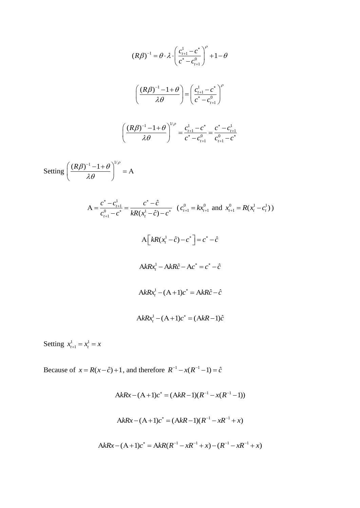$$
(R\beta)^{-1} = \theta \cdot \lambda \cdot \left(\frac{c_{t+1}^{1} - c^{*}}{c^{*} - c_{t+1}^{0}}\right)^{\rho} + 1 - \theta
$$
\n
$$
\left(\frac{(R\beta)^{-1} - 1 + \theta}{\lambda \theta}\right) = \left(\frac{c_{t+1}^{1} - c^{*}}{c^{*} - c_{t+1}^{0}}\right)^{\rho}
$$
\n
$$
\left(\frac{(R\beta)^{-1} - 1 + \theta}{\lambda \theta}\right)^{1/\rho} = \frac{c_{t+1}^{1} - c^{*}}{c^{*} - c_{t+1}^{0}} = \frac{c^{*} - c_{t+1}^{1}}{c_{t+1}^{0} - c^{*}}
$$
\nSetting\n
$$
\left(\frac{(R\beta)^{-1} - 1 + \theta}{\lambda \theta}\right)^{1/\rho} = A
$$
\n
$$
A = \frac{c^{*} - c_{t+1}^{1}}{c_{t+1}^{0} - c^{*}} = \frac{c^{*} - \hat{c}}{kR(x_{t}^{1} - \hat{c}) - c^{*}} \quad (c_{t+1}^{0} = kx_{t+1}^{0} \text{ and } x_{t+1}^{0} = R(x_{t}^{1} - c_{t}^{1}))
$$
\n
$$
A \left[kR(x_{t}^{1} - \hat{c}) - c^{*}\right] = c^{*} - \hat{c}
$$
\n
$$
AkRx_{t}^{1} - AkR\hat{c} - Ac^{*} = c^{*} - \hat{c}
$$
\n
$$
AkRx_{t}^{1} - (A + 1)c^{*} = AkR\hat{c} - \hat{c}
$$
\n
$$
AkRx_{t}^{1} - (A + 1)c^{*} = (AkR - 1)\hat{c}
$$

Setting  $x_{t+1}^1 = x_t^1$  $x_{t+1}^1 = x_t^1 = x$ 

Because of  $x = R(x - \hat{c}) + 1$ , and therefore  $R^{-1} - x(R^{-1} - 1) = \hat{c}$ 

$$
A k R x - (A+1)c^* = (A k R - 1)(R^{-1} - x(R^{-1} - 1))
$$
  

$$
A k R x - (A+1)c^* = (A k R - 1)(R^{-1} - xR^{-1} + x)
$$
  

$$
A k R x - (A+1)c^* = A k R (R^{-1} - xR^{-1} + x) - (R^{-1} - xR^{-1} + x)
$$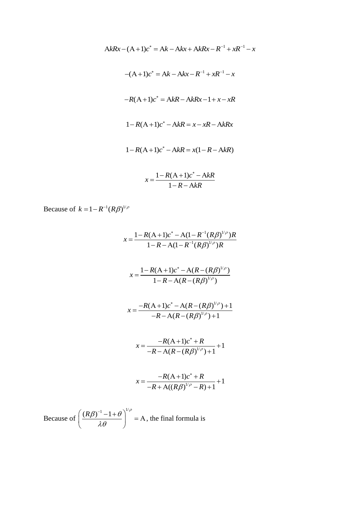$$
AkRx - (A+1)c^* = Ak - Akx + AkRx - R^{-1} + xR^{-1} - x
$$
  
-(A+1)c^\* = Ak - Akx - R^{-1} + xR^{-1} - x  
-R(A+1)c^\* = AkR - AkRx - 1 + x - xR  
1-R(A+1)c^\* - AkR = x - xR - AkRx  
1-R(A+1)c^\* - AkR = x(1 - R - AkR)  
 $x - \frac{1-R(A+1)c^* - AkR}{R}$ 

$$
x = \frac{1 - R\left(\frac{1}{2}\right) + 1}{1 - R - AkR}
$$

Because of  $k = 1 - R^{-1} (R\beta)^{1/\rho}$ 

$$
x = \frac{1 - R(A+1)c^* - A(1 - R^{-1}(R\beta)^{1/\rho})R}{1 - R - A(1 - R^{-1}(R\beta)^{1/\rho})R}
$$
  

$$
x = \frac{1 - R(A+1)c^* - A(R - (R\beta)^{1/\rho})}{1 - R - A(R - (R\beta)^{1/\rho})}
$$
  

$$
x = \frac{-R(A+1)c^* - A(R - (R\beta)^{1/\rho}) + 1}{-R - A(R - (R\beta)^{1/\rho}) + 1}
$$
  

$$
x = \frac{-R(A+1)c^* + R}{-R - A(R - (R\beta)^{1/\rho}) + 1} + 1
$$
  

$$
x = \frac{-R(A+1)c^* + R}{-R + A((R\beta)^{1/\rho} - R) + 1} + 1
$$

Because of  $(R\beta)^{-1} - 1 + \theta$ <sup>1/ $\rho$ </sup>  $\lambda\theta$  $\left(\frac{(R\beta)^{-1}-1+\theta}{2\theta}\right)^{1/\rho}=A, t$  $\left(\frac{(R\beta)^{3} + 1 + \delta}{\lambda \theta}\right)$  = A, the final formula is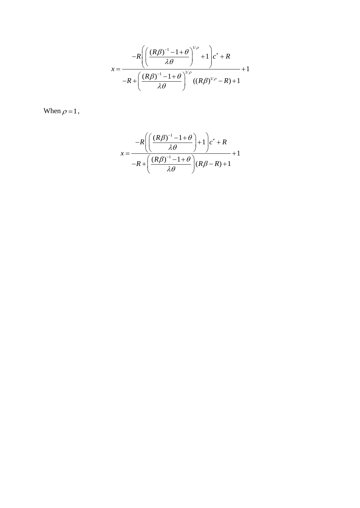$$
x = \frac{-R \left( \left( \frac{(R\beta)^{-1} - 1 + \theta}{\lambda \theta} \right)^{1/\rho} + 1 \right) c^* + R}{-R + \left( \frac{(R\beta)^{-1} - 1 + \theta}{\lambda \theta} \right)^{1/\rho} ((R\beta)^{1/\rho} - R) + 1} + 1
$$

When 
$$
\rho = 1
$$
,

$$
x = \frac{-R\left(\left(\frac{(R\beta)^{-1} - 1 + \theta}{\lambda \theta}\right) + 1\right)c^* + R}{-R + \left(\frac{(R\beta)^{-1} - 1 + \theta}{\lambda \theta}\right)(R\beta - R) + 1} + 1
$$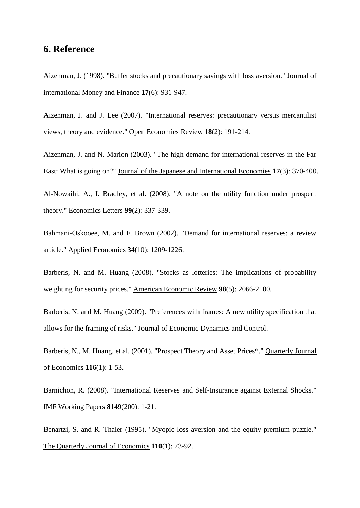# **6. Reference**

Aizenman, J. (1998). "Buffer stocks and precautionary savings with loss aversion." Journal of international Money and Finance **17**(6): 931-947.

Aizenman, J. and J. Lee (2007). "International reserves: precautionary versus mercantilist views, theory and evidence." Open Economies Review **18**(2): 191-214.

Aizenman, J. and N. Marion (2003). "The high demand for international reserves in the Far East: What is going on?" Journal of the Japanese and International Economies **17**(3): 370-400.

Al-Nowaihi, A., I. Bradley, et al. (2008). "A note on the utility function under prospect theory." Economics Letters **99**(2): 337-339.

Bahmani-Oskooee, M. and F. Brown (2002). "Demand for international reserves: a review article." Applied Economics **34**(10): 1209-1226.

Barberis, N. and M. Huang (2008). "Stocks as lotteries: The implications of probability weighting for security prices." American Economic Review **98**(5): 2066-2100.

Barberis, N. and M. Huang (2009). "Preferences with frames: A new utility specification that allows for the framing of risks." Journal of Economic Dynamics and Control.

Barberis, N., M. Huang, et al. (2001). "Prospect Theory and Asset Prices\*." Quarterly Journal of Economics **116**(1): 1-53.

Barnichon, R. (2008). "International Reserves and Self-Insurance against External Shocks." IMF Working Papers **8149**(200): 1-21.

Benartzi, S. and R. Thaler (1995). "Myopic loss aversion and the equity premium puzzle." The Quarterly Journal of Economics **110**(1): 73-92.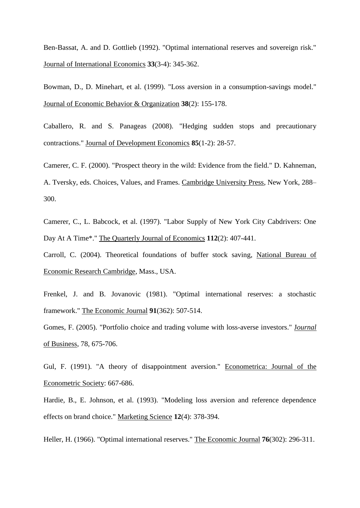Ben-Bassat, A. and D. Gottlieb (1992). "Optimal international reserves and sovereign risk." Journal of International Economics **33**(3-4): 345-362.

Bowman, D., D. Minehart, et al. (1999). "Loss aversion in a consumption-savings model." Journal of Economic Behavior & Organization **38**(2): 155-178.

Caballero, R. and S. Panageas (2008). "Hedging sudden stops and precautionary contractions." Journal of Development Economics **85**(1-2): 28-57.

Camerer, C. F. (2000). "Prospect theory in the wild: Evidence from the field." D. Kahneman, A. Tversky, eds. Choices, Values, and Frames. Cambridge University Press, New York, 288– 300.

Camerer, C., L. Babcock, et al. (1997). "Labor Supply of New York City Cabdrivers: One Day At A Time\*." The Quarterly Journal of Economics **112**(2): 407-441.

Carroll, C. (2004). Theoretical foundations of buffer stock saving, National Bureau of Economic Research Cambridge, Mass., USA.

Frenkel, J. and B. Jovanovic (1981). "Optimal international reserves: a stochastic framework." The Economic Journal **91**(362): 507-514.

Gomes, F. (2005). "Portfolio choice and trading volume with loss-averse investors." J*ournal*  of Business, 78, 675-706.

Gul, F. (1991). "A theory of disappointment aversion." Econometrica: Journal of the Econometric Society: 667-686.

Hardie, B., E. Johnson, et al. (1993). "Modeling loss aversion and reference dependence effects on brand choice." Marketing Science **12**(4): 378-394.

Heller, H. (1966). "Optimal international reserves." The Economic Journal **76**(302): 296-311.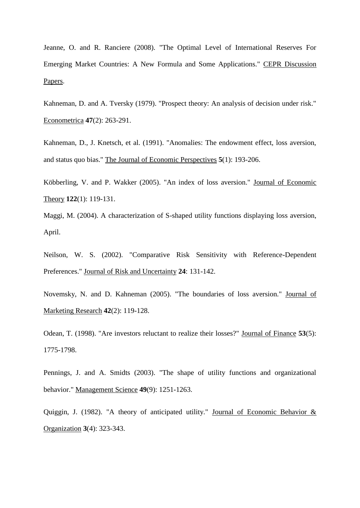Jeanne, O. and R. Ranciere (2008). "The Optimal Level of International Reserves For Emerging Market Countries: A New Formula and Some Applications." CEPR Discussion Papers.

Kahneman, D. and A. Tversky (1979). "Prospect theory: An analysis of decision under risk." Econometrica **47**(2): 263-291.

Kahneman, D., J. Knetsch, et al. (1991). "Anomalies: The endowment effect, loss aversion, and status quo bias." The Journal of Economic Perspectives **5**(1): 193-206.

Köbberling, V. and P. Wakker (2005). "An index of loss aversion." Journal of Economic Theory **122**(1): 119-131.

Maggi, M. (2004). A characterization of S-shaped utility functions displaying loss aversion, April.

Neilson, W. S. (2002). "Comparative Risk Sensitivity with Reference-Dependent Preferences." Journal of Risk and Uncertainty **24**: 131-142.

Novemsky, N. and D. Kahneman (2005). "The boundaries of loss aversion." Journal of Marketing Research **42**(2): 119-128.

Odean, T. (1998). "Are investors reluctant to realize their losses?" Journal of Finance **53**(5): 1775-1798.

Pennings, J. and A. Smidts (2003). "The shape of utility functions and organizational behavior." Management Science **49**(9): 1251-1263.

Quiggin, J. (1982). "A theory of anticipated utility." Journal of Economic Behavior & Organization **3**(4): 323-343.